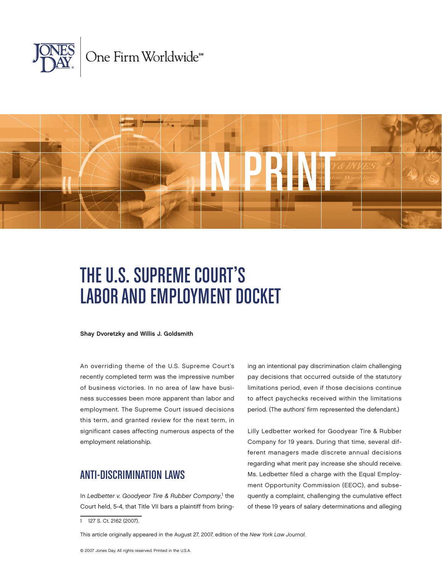



# The U.S. Supreme Court's LABOR AND EMPLOYMENT DOCKET

Shay Dvoretzky and Willis J. Goldsmith

An overriding theme of the U.S. Supreme Court's recently completed term was the impressive number of business victories. In no area of law have business successes been more apparent than labor and employment. The Supreme Court issued decisions this term, and granted review for the next term, in significant cases affecting numerous aspects of the employment relationship.

## Anti-Discrimination Laws

In Ledbetter v. Goodyear Tire & Rubber Company,<sup>1</sup> the Court held, 5-4, that Title VII bars a plaintiff from bringing an intentional pay discrimination claim challenging pay decisions that occurred outside of the statutory limitations period, even if those decisions continue to affect paychecks received within the limitations period. (The authors' firm represented the defendant.)

Lilly Ledbetter worked for Goodyear Tire & Rubber Company for 19 years. During that time, several different managers made discrete annual decisions regarding what merit pay increase she should receive. Ms. Ledbetter filed a charge with the Equal Employment Opportunity Commission (EEOC), and subsequently a complaint, challenging the cumulative effect of these 19 years of salary determinations and alleging

This article originally appeared in the August 27, 2007, edition of the *New York Law Journal*.

<sup>1 127</sup> S. Ct. 2162 (2007).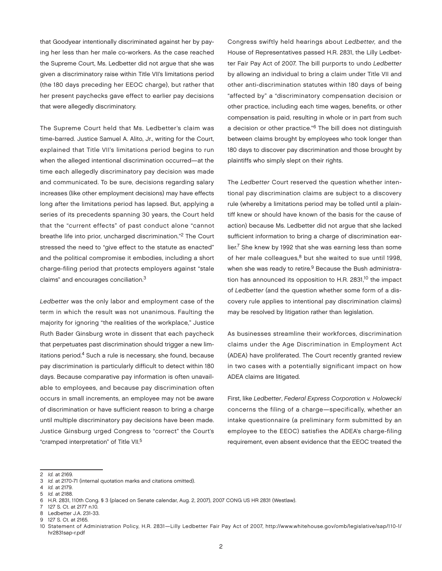that Goodyear intentionally discriminated against her by paying her less than her male co-workers. As the case reached the Supreme Court, Ms. Ledbetter did not argue that she was given a discriminatory raise within Title VII's limitations period (the 180 days preceding her EEOC charge), but rather that her present paychecks gave effect to earlier pay decisions that were allegedly discriminatory.

The Supreme Court held that Ms. Ledbetter's claim was time-barred. Justice Samuel A. Alito, Jr., writing for the Court, explained that Title VII's limitations period begins to run when the alleged intentional discrimination occurred—at the time each allegedly discriminatory pay decision was made and communicated. To be sure, decisions regarding salary increases (like other employment decisions) may have effects long after the limitations period has lapsed. But, applying a series of its precedents spanning 30 years, the Court held that the "current effects" of past conduct alone "cannot breathe life into prior, uncharged discrimination."2 The Court stressed the need to "give effect to the statute as enacted" and the political compromise it embodies, including a short charge-filing period that protects employers against "stale claims" and encourages conciliation.3

*Ledbetter* was the only labor and employment case of the term in which the result was not unanimous. Faulting the majority for ignoring "the realities of the workplace," Justice Ruth Bader Ginsburg wrote in dissent that each paycheck that perpetuates past discrimination should trigger a new limitations period.<sup>4</sup> Such a rule is necessary, she found, because pay discrimination is particularly difficult to detect within 180 days. Because comparative pay information is often unavailable to employees, and because pay discrimination often occurs in small increments, an employee may not be aware of discrimination or have sufficient reason to bring a charge until multiple discriminatory pay decisions have been made. Justice Ginsburg urged Congress to "correct" the Court's "cramped interpretation" of Title VII.5

Congress swiftly held hearings about *Ledbetter,* and the House of Representatives passed H.R. 2831, the Lilly Ledbetter Fair Pay Act of 2007. The bill purports to undo *Ledbetter* by allowing an individual to bring a claim under Title VII and other anti-discrimination statutes within 180 days of being "affected by" a "discriminatory compensation decision or other practice, including each time wages, benefits, or other compensation is paid, resulting in whole or in part from such a decision or other practice."6 The bill does not distinguish between claims brought by employees who took longer than 180 days to discover pay discrimination and those brought by plaintiffs who simply slept on their rights.

The *Ledbetter* Court reserved the question whether intentional pay discrimination claims are subject to a discovery rule (whereby a limitations period may be tolled until a plaintiff knew or should have known of the basis for the cause of action) because Ms. Ledbetter did not argue that she lacked sufficient information to bring a charge of discrimination earlier.7 She knew by 1992 that she was earning less than some of her male colleagues,<sup>8</sup> but she waited to sue until 1998, when she was ready to retire.<sup>9</sup> Because the Bush administration has announced its opposition to H.R. 2831,<sup>10</sup> the impact of *Ledbetter* (and the question whether some form of a discovery rule applies to intentional pay discrimination claims) may be resolved by litigation rather than legislation.

As businesses streamline their workforces, discrimination claims under the Age Discrimination in Employment Act (ADEA) have proliferated. The Court recently granted review in two cases with a potentially significant impact on how ADEA claims are litigated.

First, like *Ledbetter*, *Federal Express Corporation v. Holowecki* concerns the filing of a charge—specifically, whether an intake questionnaire (a preliminary form submitted by an employee to the EEOC) satisfies the ADEA's charge-filing requirement, even absent evidence that the EEOC treated the

<sup>2</sup> *Id.* at 2169.

<sup>3</sup> *Id.* at 2170-71 (internal quotation marks and citations omitted).

<sup>4</sup> *Id.* at 2179.

<sup>5</sup> *Id.* at 2188.

<sup>6</sup> H.R. 2831, 110th Cong. § 3 (placed on Senate calendar, Aug. 2, 2007), 2007 CONG US HR 2831 (Westlaw).

<sup>7 127</sup> S. Ct. at 2177 n.10.

<sup>8</sup> Ledbetter J.A. 231-33.

<sup>9 127</sup> S. Ct. at 2165.

<sup>10</sup> Statement of Administration Policy, H.R. 2831—Lilly Ledbetter Fair Pay Act of 2007, http://www.whitehouse.gov/omb/legislative/sap/110-1/ hr2831sap-r.pdf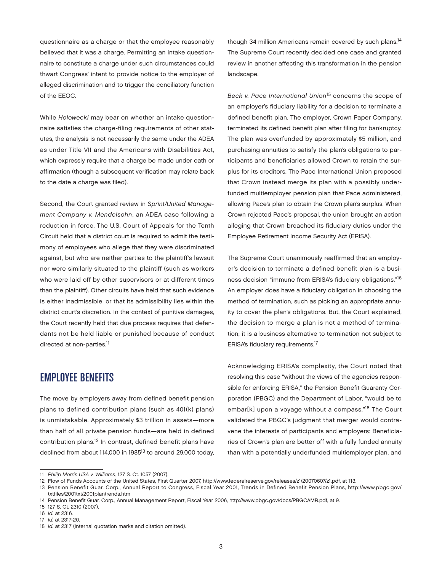questionnaire as a charge or that the employee reasonably believed that it was a charge. Permitting an intake questionnaire to constitute a charge under such circumstances could thwart Congress' intent to provide notice to the employer of alleged discrimination and to trigger the conciliatory function of the EEOC.

While *Holowecki* may bear on whether an intake questionnaire satisfies the charge-filing requirements of other statutes, the analysis is not necessarily the same under the ADEA as under Title VII and the Americans with Disabilities Act, which expressly require that a charge be made under oath or affirmation (though a subsequent verification may relate back to the date a charge was filed).

Second, the Court granted review in *Sprint/United Management Company v. Mendelsohn*, an ADEA case following a reduction in force. The U.S. Court of Appeals for the Tenth Circuit held that a district court is required to admit the testimony of employees who allege that they were discriminated against, but who are neither parties to the plaintiff's lawsuit nor were similarly situated to the plaintiff (such as workers who were laid off by other supervisors or at different times than the plaintiff). Other circuits have held that such evidence is either inadmissible, or that its admissibility lies within the district court's discretion. In the context of punitive damages, the Court recently held that due process requires that defendants not be held liable or punished because of conduct directed at non-parties.<sup>11</sup>

#### Employee Benefits

The move by employers away from defined benefit pension plans to defined contribution plans (such as 401(k) plans) is unmistakable. Approximately \$3 trillion in assets—more than half of all private pension funds—are held in defined contribution plans.12 In contrast, defined benefit plans have declined from about 114,000 in 1985<sup>13</sup> to around 29,000 today,

though 34 million Americans remain covered by such plans.14 The Supreme Court recently decided one case and granted review in another affecting this transformation in the pension landscape.

*Beck v. Pace International Union*15 concerns the scope of an employer's fiduciary liability for a decision to terminate a defined benefit plan. The employer, Crown Paper Company, terminated its defined benefit plan after filing for bankruptcy. The plan was overfunded by approximately \$5 million, and purchasing annuities to satisfy the plan's obligations to participants and beneficiaries allowed Crown to retain the surplus for its creditors. The Pace International Union proposed that Crown instead merge its plan with a possibly underfunded multiemployer pension plan that Pace administered, allowing Pace's plan to obtain the Crown plan's surplus. When Crown rejected Pace's proposal, the union brought an action alleging that Crown breached its fiduciary duties under the Employee Retirement Income Security Act (ERISA).

The Supreme Court unanimously reaffirmed that an employer's decision to terminate a defined benefit plan is a business decision "immune from ERISA's fiduciary obligations."<sup>16</sup> An employer does have a fiduciary obligation in choosing the method of termination, such as picking an appropriate annuity to cover the plan's obligations. But, the Court explained, the decision to merge a plan is not a method of termination; it is a business alternative to termination not subject to ERISA's fiduciary requirements.17

Acknowledging ERISA's complexity, the Court noted that resolving this case "without the views of the agencies responsible for enforcing ERISA," the Pension Benefit Guaranty Corporation (PBGC) and the Department of Labor, "would be to embar[k] upon a voyage without a compass."18 The Court validated the PBGC's judgment that merger would contravene the interests of participants and employers: Beneficiaries of Crown's plan are better off with a fully funded annuity than with a potentially underfunded multiemployer plan, and

<sup>11</sup> *Philip Morris USA v. Williams*, 127 S. Ct. 1057 (2007).

<sup>12</sup> Flow of Funds Accounts of the United States, First Quarter 2007, http://www.federalreserve.gov/releases/z1/20070607/z1.pdf, at 113.

<sup>13</sup> Pension Benefit Guar. Corp., Annual Report to Congress, Fiscal Year 2001, Trends in Defined Benefit Pension Plans, http://www.pbgc.gov/ txtfiles/2001txt/2001plantrends.htm

<sup>14</sup> Pension Benefit Guar. Corp., Annual Management Report, Fiscal Year 2006, http://www.pbgc.gov/docs/PBGCAMR.pdf, at 9.

<sup>15 127</sup> S. Ct. 2310 (2007).

<sup>16</sup> *Id.* at 2316.

<sup>17</sup> *Id.* at 2317-20.

<sup>18</sup> *Id.* at 2317 (internal quotation marks and citation omitted).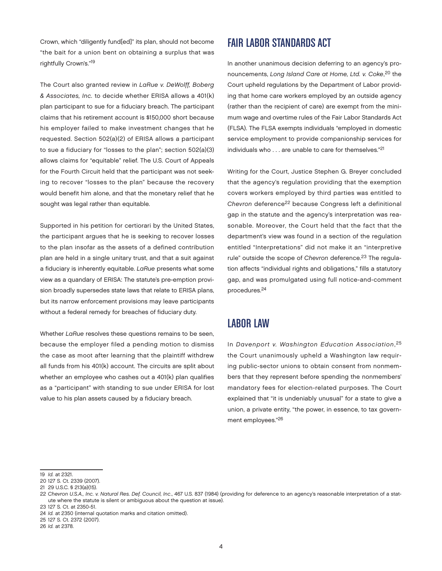Crown, which "diligently fund[ed]" its plan, should not become "the bait for a union bent on obtaining a surplus that was rightfully Crown's."19

The Court also granted review in *LaRue v. DeWolff, Boberg & Associates, Inc.* to decide whether ERISA allows a 401(k) plan participant to sue for a fiduciary breach. The participant claims that his retirement account is \$150,000 short because his employer failed to make investment changes that he requested. Section 502(a)(2) of ERISA allows a participant to sue a fiduciary for "losses to the plan"; section 502(a)(3) allows claims for "equitable" relief. The U.S. Court of Appeals for the Fourth Circuit held that the participant was not seeking to recover "losses to the plan" because the recovery would benefit him alone, and that the monetary relief that he sought was legal rather than equitable.

Supported in his petition for certiorari by the United States, the participant argues that he is seeking to recover losses to the plan insofar as the assets of a defined contribution plan are held in a single unitary trust, and that a suit against a fiduciary is inherently equitable. *LaRue* presents what some view as a quandary of ERISA: The statute's pre-emption provision broadly supersedes state laws that relate to ERISA plans, but its narrow enforcement provisions may leave participants without a federal remedy for breaches of fiduciary duty.

Whether *LaRue* resolves these questions remains to be seen, because the employer filed a pending motion to dismiss the case as moot after learning that the plaintiff withdrew all funds from his 401(k) account. The circuits are split about whether an employee who cashes out a 401(k) plan qualifies as a "participant" with standing to sue under ERISA for lost value to his plan assets caused by a fiduciary breach.

#### Fair Labor Standards Act

In another unanimous decision deferring to an agency's pronouncements, *Long Island Care at Home, Ltd. v. Coke*, 20 the Court upheld regulations by the Department of Labor providing that home care workers employed by an outside agency (rather than the recipient of care) are exempt from the minimum wage and overtime rules of the Fair Labor Standards Act (FLSA). The FLSA exempts individuals "employed in domestic service employment to provide companionship services for individuals who . . . are unable to care for themselves."21

Writing for the Court, Justice Stephen G. Breyer concluded that the agency's regulation providing that the exemption covers workers employed by third parties was entitled to *Chevron* deference22 because Congress left a definitional gap in the statute and the agency's interpretation was reasonable. Moreover, the Court held that the fact that the department's view was found in a section of the regulation entitled "Interpretations" did not make it an "interpretive rule" outside the scope of *Chevron* deference.<sup>23</sup> The regulation affects "individual rights and obligations," fills a statutory gap, and was promulgated using full notice-and-comment procedures.<sup>24</sup>

#### Labor Law

In *Davenport v. Washington Education Association*, 25 the Court unanimously upheld a Washington law requiring public-sector unions to obtain consent from nonmembers that they represent before spending the nonmembers' mandatory fees for election-related purposes. The Court explained that "it is undeniably unusual" for a state to give a union, a private entity, "the power, in essence, to tax government employees."26

<sup>19</sup> *Id.* at 2321.

<sup>20 127</sup> S. Ct. 2339 (2007).

<sup>21 29</sup> U.S.C. § 213(a)(15).

<sup>22</sup> *Chevron U.S.A., Inc. v. Natural Res. Def. Council, Inc*., 467 U.S. 837 (1984) (providing for deference to an agency's reasonable interpretation of a statute where the statute is silent or ambiguous about the question at issue).

<sup>23 127</sup> S. Ct. at 2350-51.

<sup>24</sup> *Id.* at 2350 (internal quotation marks and citation omitted).

<sup>25 127</sup> S. Ct. 2372 (2007).

<sup>26</sup> *Id.* at 2378.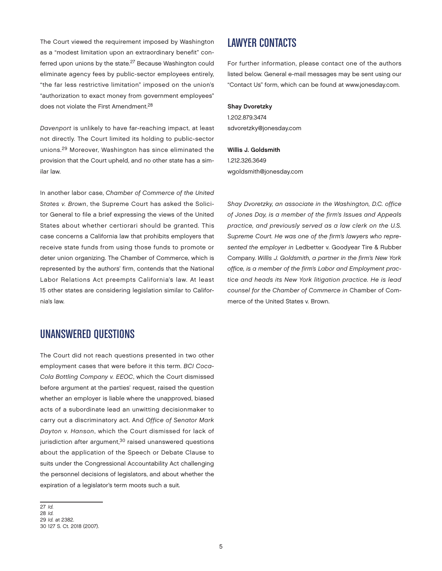The Court viewed the requirement imposed by Washington as a "modest limitation upon an extraordinary benefit" conferred upon unions by the state.27 Because Washington could eliminate agency fees by public-sector employees entirely, "the far less restrictive limitation" imposed on the union's "authorization to exact money from government employees" does not violate the First Amendment.<sup>28</sup>

*Davenport* is unlikely to have far-reaching impact, at least not directly. The Court limited its holding to public-sector unions.29 Moreover, Washington has since eliminated the provision that the Court upheld, and no other state has a similar law.

In another labor case, *Chamber of Commerce of the United States v. Brown*, the Supreme Court has asked the Solicitor General to file a brief expressing the views of the United States about whether certiorari should be granted. This case concerns a California law that prohibits employers that receive state funds from using those funds to promote or deter union organizing. The Chamber of Commerce, which is represented by the authors' firm, contends that the National Labor Relations Act preempts California's law. At least 15 other states are considering legislation similar to California's law.

### Unanswered Questions

The Court did not reach questions presented in two other employment cases that were before it this term. *BCI Coca-Cola Bottling Company v. EEOC*, which the Court dismissed before argument at the parties' request, raised the question whether an employer is liable where the unapproved, biased acts of a subordinate lead an unwitting decisionmaker to carry out a discriminatory act. And *Office of Senator Mark Dayton v. Hanson*, which the Court dismissed for lack of jurisdiction after argument,<sup>30</sup> raised unanswered questions about the application of the Speech or Debate Clause to suits under the Congressional Accountability Act challenging the personnel decisions of legislators, and about whether the expiration of a legislator's term moots such a suit.

27 *Id.* 28 *Id.* 29 *Id.* at 2382. 30 127 S. Ct. 2018 (2007).

### Lawyer ContactS

For further information, please contact one of the authors listed below. General e-mail messages may be sent using our "Contact Us" form, which can be found at www.jonesday.com.

#### Shay Dvoretzky

1.202.879.3474 sdvoretzky@jonesday.com

Willis J. Goldsmith 1.212.326.3649 wgoldsmith@jonesday.com

*Shay Dvoretzky, an associate in the Washington, D.C. office of Jones Day, is a member of the firm's Issues and Appeals practice, and previously served as a law clerk on the U.S. Supreme Court. He was one of the firm's lawyers who represented the employer in* Ledbetter v. Goodyear Tire & Rubber Company. *Willis J. Goldsmith, a partner in the firm's New York office, is a member of the firm's Labor and Employment practice and heads its New York litigation practice. He is lead counsel for the Chamber of Commerce in* Chamber of Commerce of the United States v. Brown.